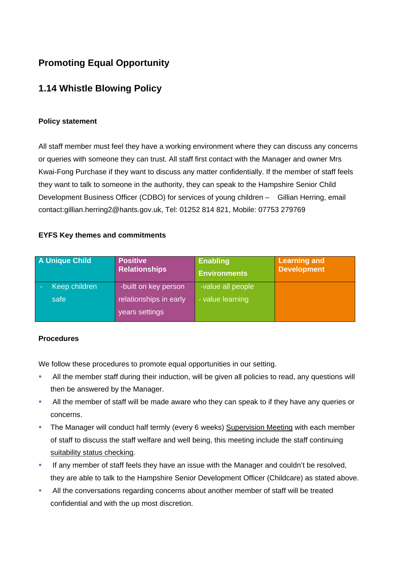# **Promoting Equal Opportunity**

## **1.14 Whistle Blowing Policy**

#### **Policy statement**

All staff member must feel they have a working environment where they can discuss any concerns or queries with someone they can trust. All staff first contact with the Manager and owner Mrs Kwai-Fong Purchase if they want to discuss any matter confidentially. If the member of staff feels they want to talk to someone in the authority, they can speak to the Hampshire Senior Child Development Business Officer (CDBO) for services of young children – Gillian Herring, email contact:gillian.herring2@hants.gov.uk, Tel: 01252 814 821, Mobile: 07753 279769

#### **EYFS Key themes and commitments**

| <b>A Unique Child</b> | <b>Positive</b><br><b>Relationships</b>  | Enabling<br><b>Environments</b> | <b>Learning and</b><br><b>Development</b> |
|-----------------------|------------------------------------------|---------------------------------|-------------------------------------------|
| Keep children         | -built on key person                     | -value all people               |                                           |
| safe                  | relationships in early<br>years settings | - value learning                |                                           |

#### **Procedures**

We follow these procedures to promote equal opportunities in our setting.

- All the member staff during their induction, will be given all policies to read, any questions will then be answered by the Manager.
- All the member of staff will be made aware who they can speak to if they have any queries or concerns.
- The Manager will conduct half termly (every 6 weeks) Supervision Meeting with each member of staff to discuss the staff welfare and well being, this meeting include the staff continuing suitability status checking.
- If any member of staff feels they have an issue with the Manager and couldn't be resolved, they are able to talk to the Hampshire Senior Development Officer (Childcare) as stated above.
- All the conversations regarding concerns about another member of staff will be treated confidential and with the up most discretion.